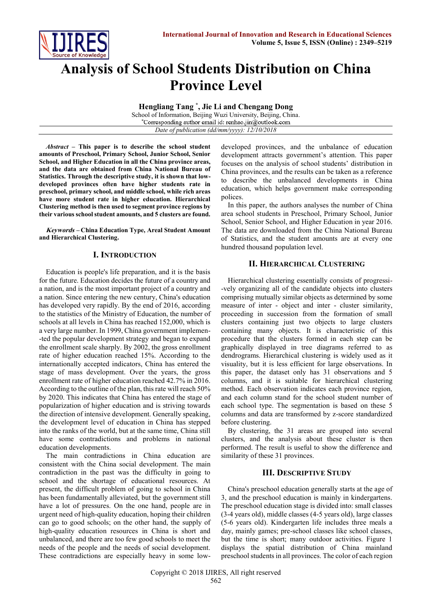

# **Analysis of School Students Distribution on China Province Level**

**Hengliang Tang \* , Jie Li and Chengang Dong**

School of Information, Beijing Wuzi University, Beijing, China.<br>\*Corresponding author email id: renhao.jin@outlook.com *Date of publication (dd/mm/yyyy): 12/10/2018*

*Abstract* **– This paper is to describe the school student amounts of Preschool, Primary School, Junior School, Senior School, and Higher Education in all the China province areas, and the data are obtained from China National Bureau of Statistics. Through the descriptive study, it is shown that lowdeveloped provinces often have higher students rate in preschool, primary school, and middle school, while rich areas have more student rate in higher education. Hierarchical Clustering method is then used to segment province regions by their various school student amounts, and 5 clusters are found.**

**Keywords – China Education Type, Areal Student Amount and Hierarchical Clustering.**

### **I. INTRODUCTION**

Education is people's life preparation, and it is the basis for the future. Education decides the future of a country and a nation, and is the most important project of a country and a nation. Since entering the new century, China's education has developed very rapidly. By the end of 2016, according to the statistics of the Ministry of Education, the number of schools at all levels in China has reached 152,000, which is a very large number. In 1999, China government implemen- -ted the popular development strategy and began to expand the enrollment scale sharply. By 2002, the gross enrollment rate of higher education reached 15%. According to the internationally accepted indicators, China has entered the stage of mass development. Over the years, the gross enrollment rate of higher education reached 42.7% in 2016. According to the outline of the plan, this rate will reach 50% by 2020. This indicates that China has entered the stage of popularization of higher education and is striving towards the direction of intensive development. Generally speaking, the development level of education in China has stepped into the ranks of the world, but at the same time, China still have some contradictions and problems in national education developments.

The main contradictions in China education are consistent with the China social development. The main contradiction in the past was the difficulty in going to school and the shortage of educational resources. At present, the difficult problem of going to school in China has been fundamentally alleviated, but the government still have a lot of pressures. On the one hand, people are in urgent need of high-quality education, hoping their children can go to good schools; on the other hand, the supply of high-quality education resources in China is short and unbalanced, and there are too few good schools to meet the needs of the people and the needs of social development. These contradictions are especially heavy in some lowdeveloped provinces, and the unbalance of education development attracts government's attention. This paper focuses on the analysis of school students' distribution in China provinces, and the results can be taken as a reference to describe the unbalanced developments in China education, which helps government make corresponding polices.

In this paper, the authors analyses the number of China area school students in Preschool, Primary School, Junior School, Senior School, and Higher Education in year 2016. The data are downloaded from the China National Bureau of Statistics, and the student amounts are at every one hundred thousand population level.

### **II. HIERARCHICAL CLUSTERING**

Hierarchical clustering essentially consists of progressi- -vely organizing all of the candidate objects into clusters comprising mutually similar objects as determined by some measure of inter - object and inter - cluster similarity, proceeding in succession from the formation of small clusters containing just two objects to large clusters containing many objects. It is characteristic of this procedure that the clusters formed in each step can be graphically displayed in tree diagrams referred to as dendrograms. Hierarchical clustering is widely used as it visuality, but it is less efficient for large observations. In this paper, the dataset only has 31 observations and 5 columns, and it is suitable for hierarchical clustering method. Each observation indicates each province region, and each column stand for the school student number of each school type. The segmentation is based on these 5 columns and data are transformed by z-score standardized before clustering.

By clustering, the 31 areas are grouped into several clusters, and the analysis about these cluster is then performed. The result is useful to show the difference and similarity of these 31 provinces.

# **III. DESCRIPTIVE STUDY**

China's preschool education generally starts at the age of 3, and the preschool education is mainly in kindergartens. The preschool education stage is divided into: small classes (3-4 years old), middle classes (4-5 years old), large classes (5-6 years old). Kindergarten life includes three meals a day, mainly games; pre-school classes like school classes, but the time is short; many outdoor activities. Figure 1 displays the spatial distribution of China mainland preschool students in all provinces. The color of each region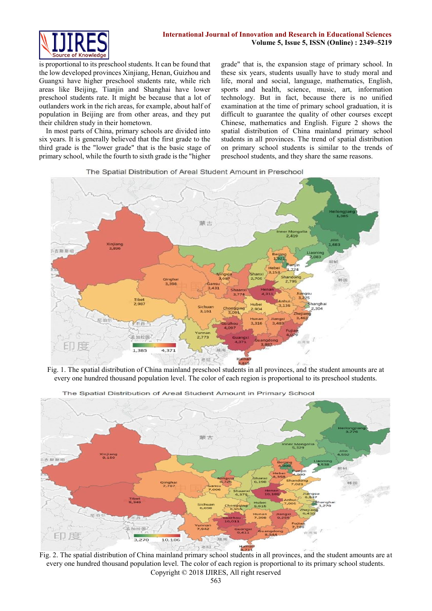

is proportional to its preschool students. It can be found that the low developed provinces Xinjiang, Henan, Guizhou and Guangxi have higher preschool students rate, while rich areas like Beijing, Tianjin and Shanghai have lower preschool students rate. It might be because that a lot of outlanders work in the rich areas, for example, about half of population in Beijing are from other areas, and they put their children study in their hometown.

In most parts of China, primary schools are divided into six years. It is generally believed that the first grade to the third grade is the "lower grade" that is the basic stage of primary school, while the fourth to sixth grade is the "higher grade" that is, the expansion stage of primary school. In these six years, students usually have to study moral and life, moral and social, language, mathematics, English, sports and health, science, music, art, information technology. But in fact, because there is no unified examination at the time of primary school graduation, it is difficult to guarantee the quality of other courses except Chinese, mathematics and English. Figure 2 shows the spatial distribution of China mainland primary school students in all provinces. The trend of spatial distribution on primary school students is similar to the trends of preschool students, and they share the same reasons.

The Spatial Distribution of Areal Student Amount in Preschool



Fig. 1. The spatial distribution of China mainland preschool students in all provinces, and the student amounts are at every one hundred thousand population level. The color of each region is proportional to its preschool students.



The Spatial Distribution of Areal Student Amount in Primary School

Copyright © 2018 IJIRES, All right reserved Fig. 2. The spatial distribution of China mainland primary school students in all provinces, and the student amounts are at every one hundred thousand population level. The color of each region is proportional to its primary school students.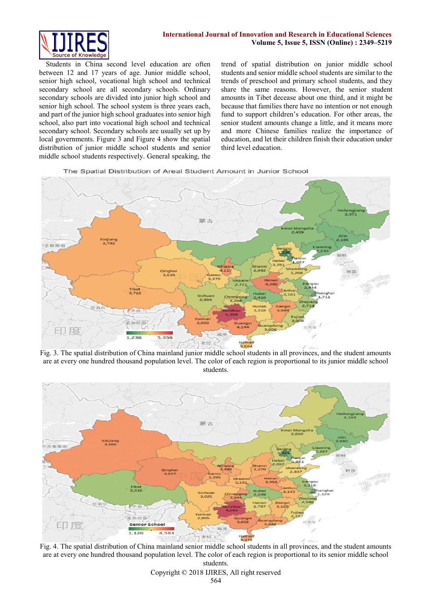

Students in China second level education are often between 12 and 17 years of age. Junior middle school, senior high school, vocational high school and technical secondary school are all secondary schools. Ordinary secondary schools are divided into junior high school and senior high school. The school system is three years each, and part of the junior high school graduates into senior high school, also part into vocational high school and technical secondary school. Secondary schools are usually set up by local governments. Figure 3 and Figure 4 show the spatial distribution of junior middle school students and senior middle school students respectively. General speaking, the trend of spatial distribution on junior middle school students and senior middle school students are similar to the trends of preschool and primary school students, and they share the same reasons. However, the senior student amounts in Tibet decease about one third, and it might be because that families there have no intention or not enough fund to support children's education. For other areas, the senior student amounts change a little, and it means more and more Chinese families realize the importance of education, and let their children finish their education under third level education.

The Spatial Distribution of Areal Student Amount in Junior School



Fig. 3. The spatial distribution of China mainland junior middle school students in all provinces, and the student amounts are at every one hundred thousand population level. The color of each region is proportional to its junior middle school students.



Fig. 4. The spatial distribution of China mainland senior middle school students in all provinces, and the student amounts are at every one hundred thousand population level. The color of each region is proportional to its senior middle school students.

Copyright © 2018 IJIRES, All right reserved 564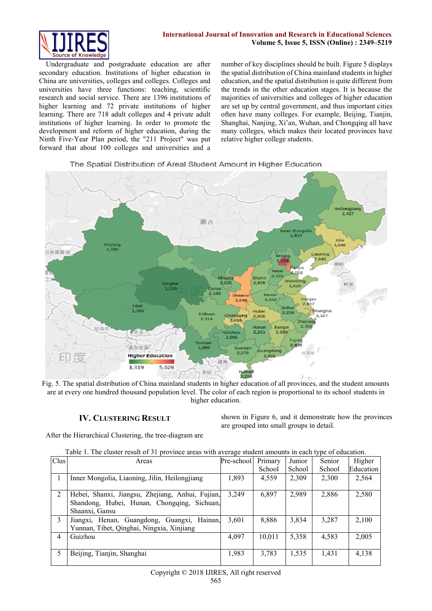

Undergraduate and postgraduate education are after secondary education. Institutions of higher education in China are universities, colleges and colleges. Colleges and universities have three functions: teaching, scientific research and social service. There are 1396 institutions of higher learning and 72 private institutions of higher learning. There are 718 adult colleges and 4 private adult institutions of higher learning. In order to promote the development and reform of higher education, during the Ninth Five-Year Plan period, the "211 Project" was put forward that about 100 colleges and universities and a number of key disciplines should be built. Figure 5 displays the spatial distribution of China mainland students in higher education, and the spatial distribution is quite different from the trends in the other education stages. It is because the majorities of universities and colleges of higher education are set up by central government, and thus important cities often have many colleges. For example, Beijing, Tianjin, Shanghai, Nanjing, Xi'an, Wuhan, and Chongqing all have many colleges, which makes their located provinces have relative higher college students.

### The Spatial Distribution of Areal Student Amount in Higher Education



Fig. 5. The spatial distribution of China mainland students in higher education of all provinces, and the student amounts are at every one hundred thousand population level. The color of each region is proportional to its school students in higher education.

# **IV. CLUSTERING RESULT**

shown in Figure 6, and it demonstrate how the provinces are grouped into small groups in detail.

After the Hierarchical Clustering, the tree-diagram are

| Table 1. The cluster result of 31 province areas with average student amounts in each type of education. |  |  |
|----------------------------------------------------------------------------------------------------------|--|--|
|                                                                                                          |  |  |

| Clus          | Areas                                            | Pre-school | Primary | Junior | Senior | Higher    |
|---------------|--------------------------------------------------|------------|---------|--------|--------|-----------|
|               |                                                  |            | School  | School | School | Education |
|               | Inner Mongolia, Liaoning, Jilin, Heilongjiang    | 1,893      | 4,559   | 2,309  | 2,300  | 2,564     |
|               |                                                  |            |         |        |        |           |
| 2             | Hebei, Shanxi, Jiangsu, Zhejiang, Anhui, Fujian, | 3,249      | 6,897   | 2,989  | 2,886  | 2,580     |
|               | Shandong, Hubei, Hunan, Chongqing, Sichuan,      |            |         |        |        |           |
|               | Shaanxi, Gansu                                   |            |         |        |        |           |
| $\mathcal{E}$ | Jiangxi, Henan, Guangdong, Guangxi, Hainan,      | 3,601      | 8,886   | 3,834  | 3,287  | 2,100     |
|               | Yunnan, Tibet, Qinghai, Ningxia, Xinjiang        |            |         |        |        |           |
| 4             | Guizhou                                          | 4,097      | 10,011  | 5,358  | 4,583  | 2,005     |
|               |                                                  |            |         |        |        |           |
| 5             | Beijing, Tianjin, Shanghai                       | 1,983      | 3,783   | 1,535  | 1,431  | 4,138     |
|               |                                                  |            |         |        |        |           |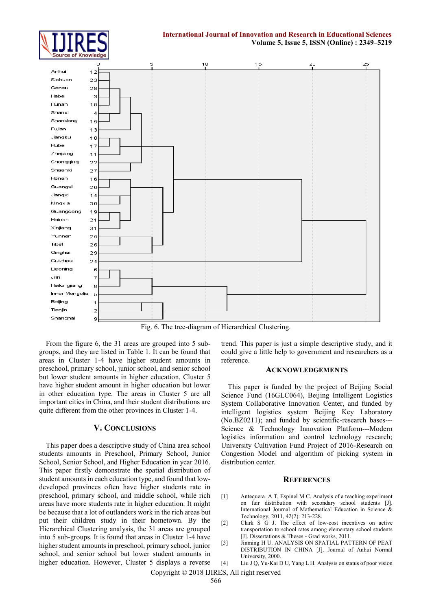



Fig. 6. The tree-diagram of Hierarchical Clustering.

From the figure 6, the 31 areas are grouped into 5 subgroups, and they are listed in Table 1. It can be found that areas in Cluster 1-4 have higher student amounts in preschool, primary school, junior school, and senior school but lower student amounts in higher education. Cluster 5 have higher student amount in higher education but lower in other education type. The areas in Cluster 5 are all important cities in China, and their student distributions are quite different from the other provinces in Cluster 1-4.

#### **V. CONCLUSIONS**

This paper does a descriptive study of China area school students amounts in Preschool, Primary School, Junior School, Senior School, and Higher Education in year 2016. This paper firstly demonstrate the spatial distribution of student amounts in each education type, and found that lowdeveloped provinces often have higher students rate in preschool, primary school, and middle school, while rich areas have more students rate in higher education. It might be because that a lot of outlanders work in the rich areas but put their children study in their hometown. By the Hierarchical Clustering analysis, the 31 areas are grouped into 5 sub-groups. It is found that areas in Cluster 1-4 have higher student amounts in preschool, primary school, junior school, and senior school but lower student amounts in higher education. However, Cluster 5 displays a reverse

trend. This paper is just a simple descriptive study, and it could give a little help to government and researchers as a reference.

#### **ACKNOWLEDGEMENTS**

This paper is funded by the project of Beijing Social Science Fund (16GLC064), Beijing Intelligent Logistics System Collaborative Innovation Center, and funded by intelligent logistics system Beijing Key Laboratory (No.BZ0211); and funded by scientific-research bases--- Science & Technology Innovation Platform---Modern logistics information and control technology research; University Cultivation Fund Project of 2016-Research on Congestion Model and algorithm of picking system in distribution center.

#### **REFERENCES**

- [1] Antequera A T, Espinel M C. Analysis of a teaching experiment on fair distribution with secondary school students [J]. International Journal of Mathematical Education in Science & Technology, 2011, 42(2): 213-228.
- [2] Clark S G J. The effect of low-cost incentives on active transportation to school rates among elementary school students [J]. Dissertations & Theses - Grad works, 2011.
- [3] Jinming H U. ANALYSIS ON SPATIAL PATTERN OF PEAT DISTRIBUTION IN CHINA [J]. Journal of Anhui Normal University, 2000.
- [4] Liu J Q, Yu-Kai D U, Yang L H. Analysis on status of poor vision

Copyright © 2018 IJIRES, All right reserved